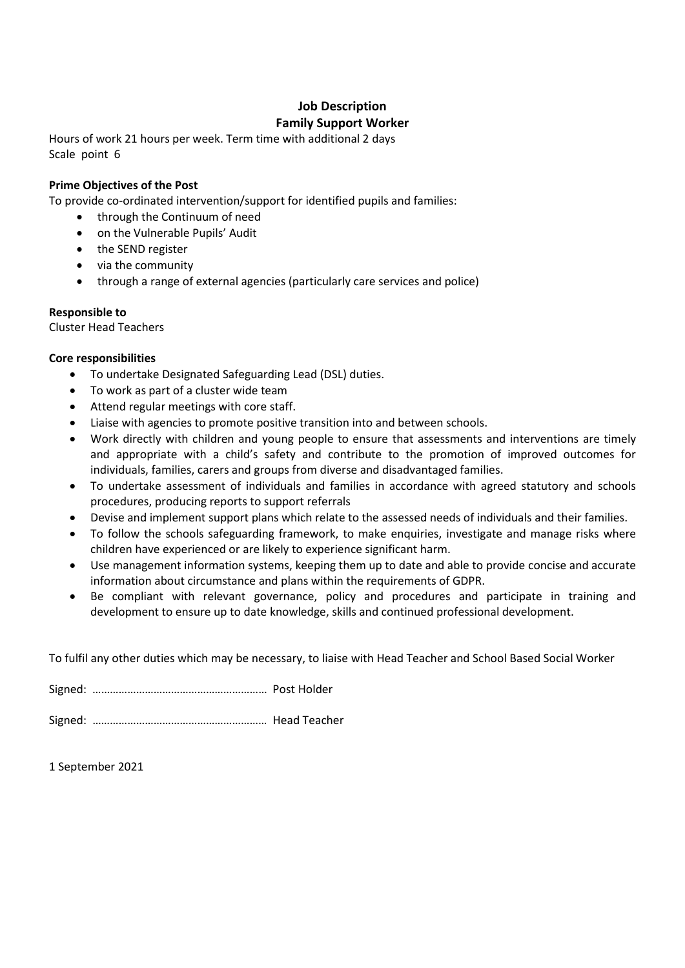# **Job Description Family Support Worker**

Hours of work 21 hours per week. Term time with additional 2 days Scale point 6

### **Prime Objectives of the Post**

To provide co-ordinated intervention/support for identified pupils and families:

- through the Continuum of need
- on the Vulnerable Pupils' Audit
- the SEND register
- via the community
- through a range of external agencies (particularly care services and police)

#### **Responsible to**

Cluster Head Teachers

#### **Core responsibilities**

- To undertake Designated Safeguarding Lead (DSL) duties.
- To work as part of a cluster wide team
- Attend regular meetings with core staff.
- Liaise with agencies to promote positive transition into and between schools.
- Work directly with children and young people to ensure that assessments and interventions are timely and appropriate with a child's safety and contribute to the promotion of improved outcomes for individuals, families, carers and groups from diverse and disadvantaged families.
- To undertake assessment of individuals and families in accordance with agreed statutory and schools procedures, producing reports to support referrals
- Devise and implement support plans which relate to the assessed needs of individuals and their families.
- To follow the schools safeguarding framework, to make enquiries, investigate and manage risks where children have experienced or are likely to experience significant harm.
- Use management information systems, keeping them up to date and able to provide concise and accurate information about circumstance and plans within the requirements of GDPR.
- Be compliant with relevant governance, policy and procedures and participate in training and development to ensure up to date knowledge, skills and continued professional development.

To fulfil any other duties which may be necessary, to liaise with Head Teacher and School Based Social Worker

Signed: …………………………………………………… Post Holder Signed: …………………………………………………… Head Teacher

1 September 2021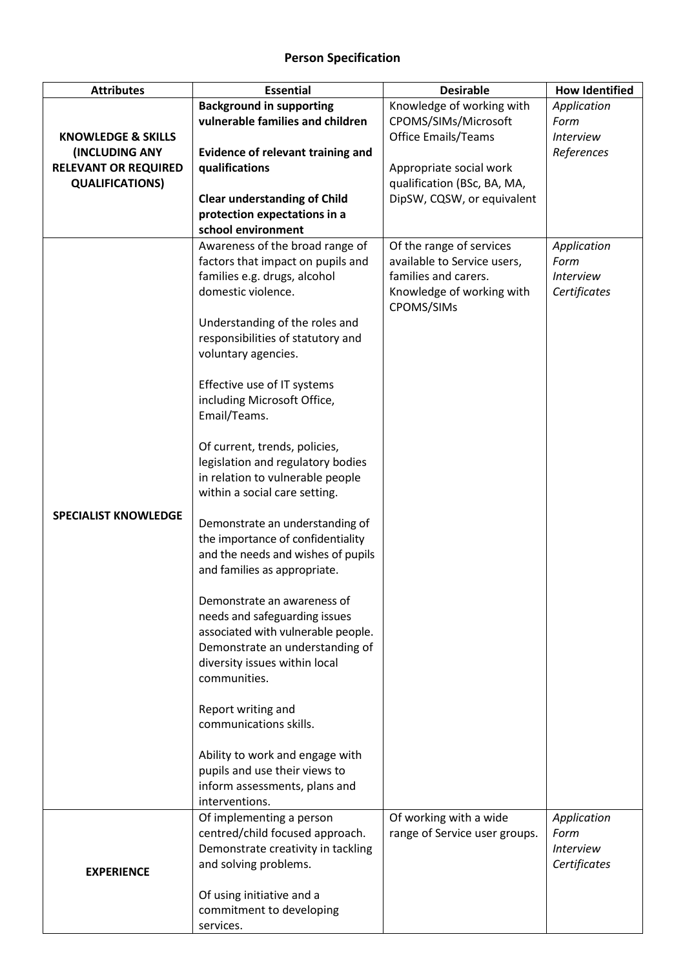## **Person Specification**

| <b>Attributes</b>             | <b>Essential</b>                                                      | <b>Desirable</b>                        | <b>How Identified</b>    |
|-------------------------------|-----------------------------------------------------------------------|-----------------------------------------|--------------------------|
|                               | <b>Background in supporting</b>                                       | Knowledge of working with               | Application              |
|                               | vulnerable families and children                                      | CPOMS/SIMs/Microsoft                    | Form                     |
| <b>KNOWLEDGE &amp; SKILLS</b> |                                                                       | <b>Office Emails/Teams</b>              | <b>Interview</b>         |
| (INCLUDING ANY                | <b>Evidence of relevant training and</b>                              |                                         | References               |
| <b>RELEVANT OR REQUIRED</b>   | qualifications                                                        | Appropriate social work                 |                          |
| <b>QUALIFICATIONS)</b>        |                                                                       | qualification (BSc, BA, MA,             |                          |
|                               | <b>Clear understanding of Child</b>                                   | DipSW, CQSW, or equivalent              |                          |
|                               | protection expectations in a                                          |                                         |                          |
|                               | school environment                                                    |                                         |                          |
|                               | Awareness of the broad range of                                       | Of the range of services                | Application              |
|                               | factors that impact on pupils and                                     | available to Service users,             | Form                     |
|                               | families e.g. drugs, alcohol                                          | families and carers.                    | <b>Interview</b>         |
|                               | domestic violence.                                                    | Knowledge of working with<br>CPOMS/SIMs | Certificates             |
|                               | Understanding of the roles and                                        |                                         |                          |
|                               | responsibilities of statutory and                                     |                                         |                          |
|                               | voluntary agencies.                                                   |                                         |                          |
|                               | Effective use of IT systems                                           |                                         |                          |
|                               | including Microsoft Office,                                           |                                         |                          |
|                               | Email/Teams.                                                          |                                         |                          |
|                               | Of current, trends, policies,                                         |                                         |                          |
|                               | legislation and regulatory bodies                                     |                                         |                          |
|                               | in relation to vulnerable people                                      |                                         |                          |
|                               | within a social care setting.                                         |                                         |                          |
| <b>SPECIALIST KNOWLEDGE</b>   | Demonstrate an understanding of                                       |                                         |                          |
|                               | the importance of confidentiality                                     |                                         |                          |
|                               | and the needs and wishes of pupils                                    |                                         |                          |
|                               | and families as appropriate.                                          |                                         |                          |
|                               | Demonstrate an awareness of                                           |                                         |                          |
|                               | needs and safeguarding issues                                         |                                         |                          |
|                               | associated with vulnerable people.                                    |                                         |                          |
|                               | Demonstrate an understanding of                                       |                                         |                          |
|                               | diversity issues within local                                         |                                         |                          |
|                               | communities.                                                          |                                         |                          |
|                               | Report writing and                                                    |                                         |                          |
|                               | communications skills.                                                |                                         |                          |
|                               | Ability to work and engage with                                       |                                         |                          |
|                               | pupils and use their views to                                         |                                         |                          |
|                               | inform assessments, plans and                                         |                                         |                          |
|                               | interventions.                                                        |                                         |                          |
|                               | Of implementing a person                                              | Of working with a wide                  | Application              |
|                               | centred/child focused approach.<br>Demonstrate creativity in tackling | range of Service user groups.           | Form<br><b>Interview</b> |
|                               | and solving problems.                                                 |                                         | Certificates             |
| <b>EXPERIENCE</b>             |                                                                       |                                         |                          |
|                               | Of using initiative and a                                             |                                         |                          |
|                               | commitment to developing                                              |                                         |                          |
|                               | services.                                                             |                                         |                          |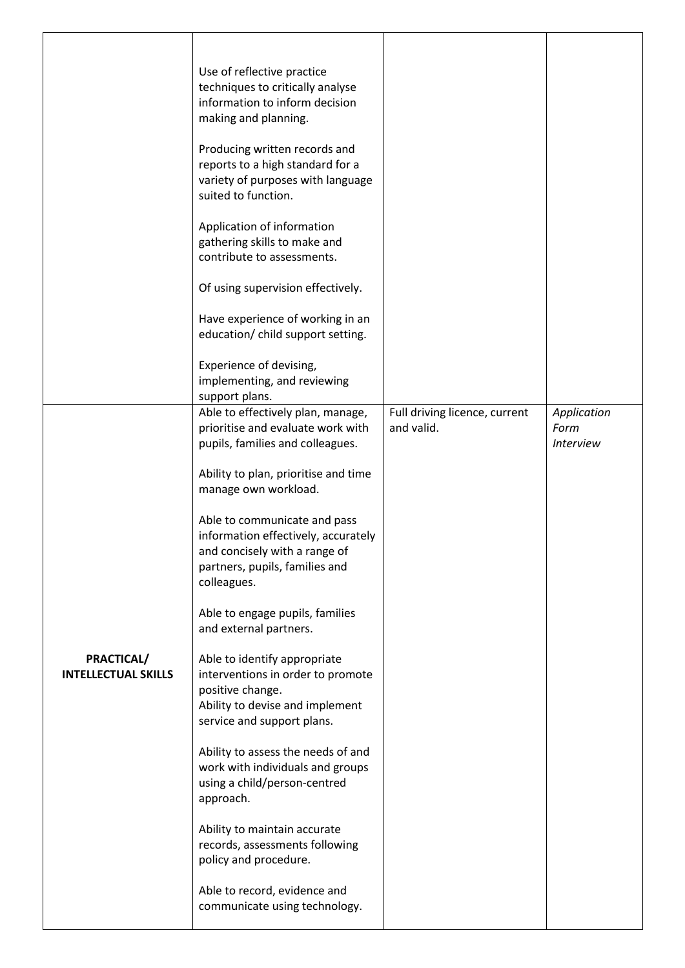|                                          | Use of reflective practice<br>techniques to critically analyse<br>information to inform decision<br>making and planning.<br>Producing written records and<br>reports to a high standard for a<br>variety of purposes with language<br>suited to function.<br>Application of information<br>gathering skills to make and<br>contribute to assessments.<br>Of using supervision effectively.<br>Have experience of working in an<br>education/ child support setting.<br>Experience of devising,<br>implementing, and reviewing                                                                                                                                                                                                                                                                                                                                   |                                             |                                                |
|------------------------------------------|-----------------------------------------------------------------------------------------------------------------------------------------------------------------------------------------------------------------------------------------------------------------------------------------------------------------------------------------------------------------------------------------------------------------------------------------------------------------------------------------------------------------------------------------------------------------------------------------------------------------------------------------------------------------------------------------------------------------------------------------------------------------------------------------------------------------------------------------------------------------|---------------------------------------------|------------------------------------------------|
| PRACTICAL/<br><b>INTELLECTUAL SKILLS</b> | support plans.<br>Able to effectively plan, manage,<br>prioritise and evaluate work with<br>pupils, families and colleagues.<br>Ability to plan, prioritise and time<br>manage own workload.<br>Able to communicate and pass<br>information effectively, accurately<br>and concisely with a range of<br>partners, pupils, families and<br>colleagues.<br>Able to engage pupils, families<br>and external partners.<br>Able to identify appropriate<br>interventions in order to promote<br>positive change.<br>Ability to devise and implement<br>service and support plans.<br>Ability to assess the needs of and<br>work with individuals and groups<br>using a child/person-centred<br>approach.<br>Ability to maintain accurate<br>records, assessments following<br>policy and procedure.<br>Able to record, evidence and<br>communicate using technology. | Full driving licence, current<br>and valid. | Application<br>Form<br><i><b>Interview</b></i> |